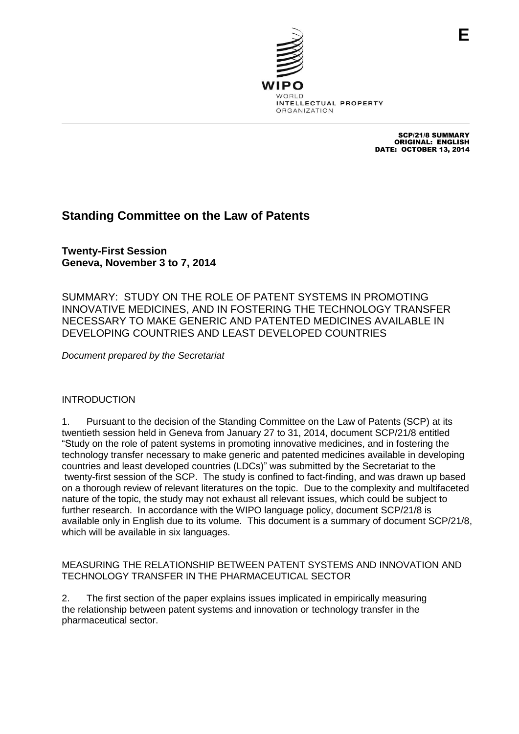

SCP/21/8 SUMMARY ORIGINAL: ENGLISH DATE: OCTOBER 13, 2014

# **Standing Committee on the Law of Patents**

**Twenty-First Session Geneva, November 3 to 7, 2014**

SUMMARY: STUDY ON THE ROLE OF PATENT SYSTEMS IN PROMOTING INNOVATIVE MEDICINES, AND IN FOSTERING THE TECHNOLOGY TRANSFER NECESSARY TO MAKE GENERIC AND PATENTED MEDICINES AVAILABLE IN DEVELOPING COUNTRIES AND LEAST DEVELOPED COUNTRIES

*Document prepared by the Secretariat*

# INTRODUCTION

1. Pursuant to the decision of the Standing Committee on the Law of Patents (SCP) at its twentieth session held in Geneva from January 27 to 31, 2014, document SCP/21/8 entitled "Study on the role of patent systems in promoting innovative medicines, and in fostering the technology transfer necessary to make generic and patented medicines available in developing countries and least developed countries (LDCs)" was submitted by the Secretariat to the twenty-first session of the SCP. The study is confined to fact-finding, and was drawn up based on a thorough review of relevant literatures on the topic. Due to the complexity and multifaceted nature of the topic, the study may not exhaust all relevant issues, which could be subject to further research. In accordance with the WIPO language policy, document SCP/21/8 is available only in English due to its volume. This document is a summary of document SCP/21/8, which will be available in six languages.

## MEASURING THE RELATIONSHIP BETWEEN PATENT SYSTEMS AND INNOVATION AND TECHNOLOGY TRANSFER IN THE PHARMACEUTICAL SECTOR

2. The first section of the paper explains issues implicated in empirically measuring the relationship between patent systems and innovation or technology transfer in the pharmaceutical sector.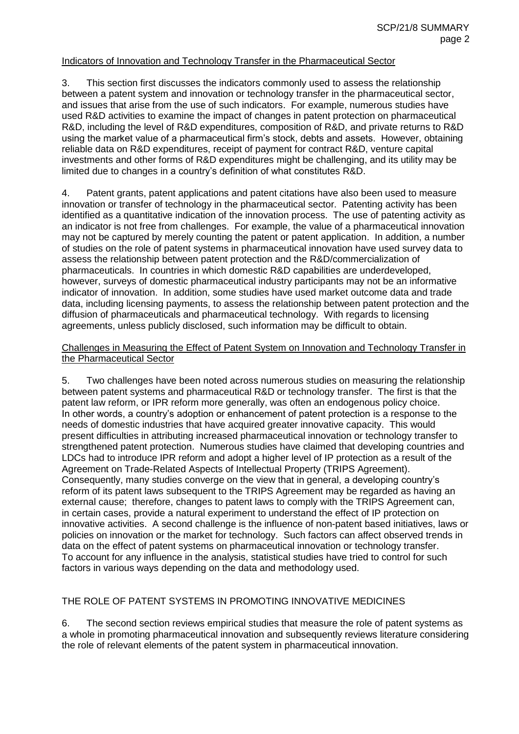#### Indicators of Innovation and Technology Transfer in the Pharmaceutical Sector

3. This section first discusses the indicators commonly used to assess the relationship between a patent system and innovation or technology transfer in the pharmaceutical sector, and issues that arise from the use of such indicators. For example, numerous studies have used R&D activities to examine the impact of changes in patent protection on pharmaceutical R&D, including the level of R&D expenditures, composition of R&D, and private returns to R&D using the market value of a pharmaceutical firm's stock, debts and assets. However, obtaining reliable data on R&D expenditures, receipt of payment for contract R&D, venture capital investments and other forms of R&D expenditures might be challenging, and its utility may be limited due to changes in a country's definition of what constitutes R&D.

4. Patent grants, patent applications and patent citations have also been used to measure innovation or transfer of technology in the pharmaceutical sector. Patenting activity has been identified as a quantitative indication of the innovation process. The use of patenting activity as an indicator is not free from challenges. For example, the value of a pharmaceutical innovation may not be captured by merely counting the patent or patent application. In addition, a number of studies on the role of patent systems in pharmaceutical innovation have used survey data to assess the relationship between patent protection and the R&D/commercialization of pharmaceuticals. In countries in which domestic R&D capabilities are underdeveloped, however, surveys of domestic pharmaceutical industry participants may not be an informative indicator of innovation. In addition, some studies have used market outcome data and trade data, including licensing payments, to assess the relationship between patent protection and the diffusion of pharmaceuticals and pharmaceutical technology. With regards to licensing agreements, unless publicly disclosed, such information may be difficult to obtain.

#### Challenges in Measuring the Effect of Patent System on Innovation and Technology Transfer in the Pharmaceutical Sector

5. Two challenges have been noted across numerous studies on measuring the relationship between patent systems and pharmaceutical R&D or technology transfer. The first is that the patent law reform, or IPR reform more generally, was often an endogenous policy choice. In other words, a country's adoption or enhancement of patent protection is a response to the needs of domestic industries that have acquired greater innovative capacity. This would present difficulties in attributing increased pharmaceutical innovation or technology transfer to strengthened patent protection. Numerous studies have claimed that developing countries and LDCs had to introduce IPR reform and adopt a higher level of IP protection as a result of the Agreement on Trade-Related Aspects of Intellectual Property (TRIPS Agreement). Consequently, many studies converge on the view that in general, a developing country's reform of its patent laws subsequent to the TRIPS Agreement may be regarded as having an external cause; therefore, changes to patent laws to comply with the TRIPS Agreement can, in certain cases, provide a natural experiment to understand the effect of IP protection on innovative activities. A second challenge is the influence of non-patent based initiatives, laws or policies on innovation or the market for technology. Such factors can affect observed trends in data on the effect of patent systems on pharmaceutical innovation or technology transfer. To account for any influence in the analysis, statistical studies have tried to control for such factors in various ways depending on the data and methodology used.

#### THE ROLE OF PATENT SYSTEMS IN PROMOTING INNOVATIVE MEDICINES

6. The second section reviews empirical studies that measure the role of patent systems as a whole in promoting pharmaceutical innovation and subsequently reviews literature considering the role of relevant elements of the patent system in pharmaceutical innovation.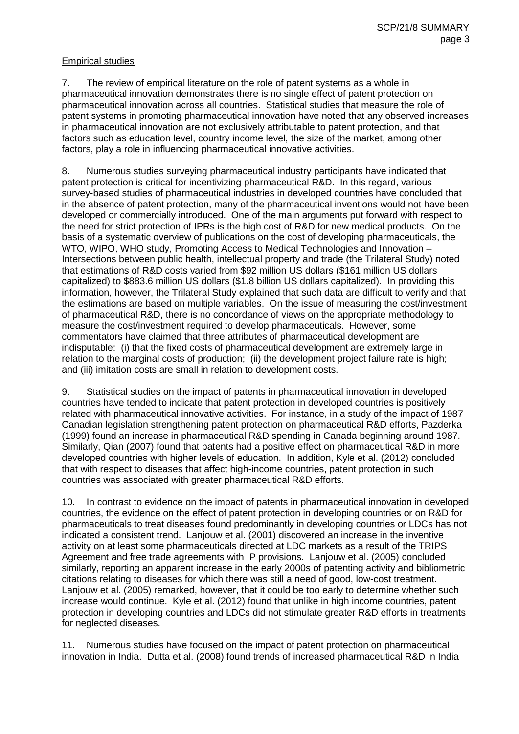### Empirical studies

7. The review of empirical literature on the role of patent systems as a whole in pharmaceutical innovation demonstrates there is no single effect of patent protection on pharmaceutical innovation across all countries. Statistical studies that measure the role of patent systems in promoting pharmaceutical innovation have noted that any observed increases in pharmaceutical innovation are not exclusively attributable to patent protection, and that factors such as education level, country income level, the size of the market, among other factors, play a role in influencing pharmaceutical innovative activities.

8. Numerous studies surveying pharmaceutical industry participants have indicated that patent protection is critical for incentivizing pharmaceutical R&D. In this regard, various survey-based studies of pharmaceutical industries in developed countries have concluded that in the absence of patent protection, many of the pharmaceutical inventions would not have been developed or commercially introduced. One of the main arguments put forward with respect to the need for strict protection of IPRs is the high cost of R&D for new medical products. On the basis of a systematic overview of publications on the cost of developing pharmaceuticals, the WTO, WIPO, WHO study, Promoting Access to Medical Technologies and Innovation – Intersections between public health, intellectual property and trade (the Trilateral Study) noted that estimations of R&D costs varied from \$92 million US dollars (\$161 million US dollars capitalized) to \$883.6 million US dollars (\$1.8 billion US dollars capitalized). In providing this information, however, the Trilateral Study explained that such data are difficult to verify and that the estimations are based on multiple variables. On the issue of measuring the cost/investment of pharmaceutical R&D, there is no concordance of views on the appropriate methodology to measure the cost/investment required to develop pharmaceuticals. However, some commentators have claimed that three attributes of pharmaceutical development are indisputable: (i) that the fixed costs of pharmaceutical development are extremely large in relation to the marginal costs of production; (ii) the development project failure rate is high; and (iii) imitation costs are small in relation to development costs.

9. Statistical studies on the impact of patents in pharmaceutical innovation in developed countries have tended to indicate that patent protection in developed countries is positively related with pharmaceutical innovative activities. For instance, in a study of the impact of 1987 Canadian legislation strengthening patent protection on pharmaceutical R&D efforts, Pazderka (1999) found an increase in pharmaceutical R&D spending in Canada beginning around 1987. Similarly, Qian (2007) found that patents had a positive effect on pharmaceutical R&D in more developed countries with higher levels of education. In addition, Kyle et al. (2012) concluded that with respect to diseases that affect high-income countries, patent protection in such countries was associated with greater pharmaceutical R&D efforts.

10. In contrast to evidence on the impact of patents in pharmaceutical innovation in developed countries, the evidence on the effect of patent protection in developing countries or on R&D for pharmaceuticals to treat diseases found predominantly in developing countries or LDCs has not indicated a consistent trend. Lanjouw et al. (2001) discovered an increase in the inventive activity on at least some pharmaceuticals directed at LDC markets as a result of the TRIPS Agreement and free trade agreements with IP provisions. Lanjouw et al. (2005) concluded similarly, reporting an apparent increase in the early 2000s of patenting activity and bibliometric citations relating to diseases for which there was still a need of good, low-cost treatment. Lanjouw et al. (2005) remarked, however, that it could be too early to determine whether such increase would continue. Kyle et al. (2012) found that unlike in high income countries, patent protection in developing countries and LDCs did not stimulate greater R&D efforts in treatments for neglected diseases.

11. Numerous studies have focused on the impact of patent protection on pharmaceutical innovation in India. Dutta et al. (2008) found trends of increased pharmaceutical R&D in India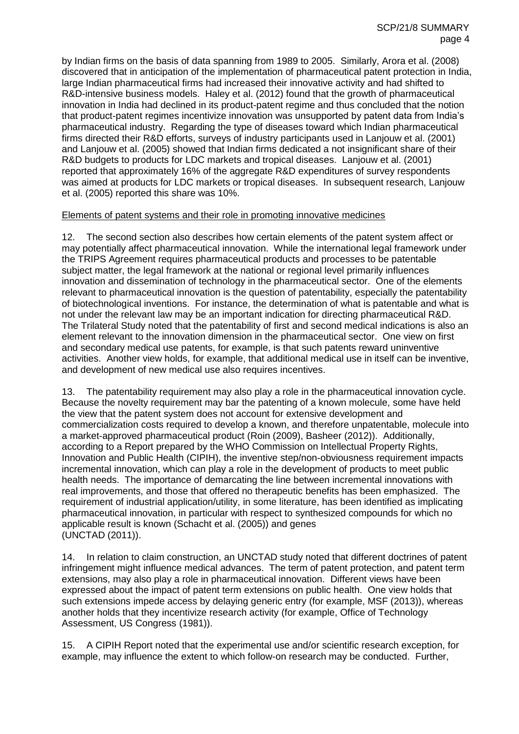by Indian firms on the basis of data spanning from 1989 to 2005. Similarly, Arora et al. (2008) discovered that in anticipation of the implementation of pharmaceutical patent protection in India, large Indian pharmaceutical firms had increased their innovative activity and had shifted to R&D-intensive business models. Haley et al. (2012) found that the growth of pharmaceutical innovation in India had declined in its product-patent regime and thus concluded that the notion that product-patent regimes incentivize innovation was unsupported by patent data from India's pharmaceutical industry. Regarding the type of diseases toward which Indian pharmaceutical firms directed their R&D efforts, surveys of industry participants used in Lanjouw et al. (2001) and Lanjouw et al. (2005) showed that Indian firms dedicated a not insignificant share of their R&D budgets to products for LDC markets and tropical diseases. Lanjouw et al. (2001) reported that approximately 16% of the aggregate R&D expenditures of survey respondents was aimed at products for LDC markets or tropical diseases. In subsequent research, Lanjouw et al. (2005) reported this share was 10%.

#### Elements of patent systems and their role in promoting innovative medicines

12. The second section also describes how certain elements of the patent system affect or may potentially affect pharmaceutical innovation. While the international legal framework under the TRIPS Agreement requires pharmaceutical products and processes to be patentable subject matter, the legal framework at the national or regional level primarily influences innovation and dissemination of technology in the pharmaceutical sector. One of the elements relevant to pharmaceutical innovation is the question of patentability, especially the patentability of biotechnological inventions. For instance, the determination of what is patentable and what is not under the relevant law may be an important indication for directing pharmaceutical R&D. The Trilateral Study noted that the patentability of first and second medical indications is also an element relevant to the innovation dimension in the pharmaceutical sector. One view on first and secondary medical use patents, for example, is that such patents reward uninventive activities. Another view holds, for example, that additional medical use in itself can be inventive, and development of new medical use also requires incentives.

13. The patentability requirement may also play a role in the pharmaceutical innovation cycle. Because the novelty requirement may bar the patenting of a known molecule, some have held the view that the patent system does not account for extensive development and commercialization costs required to develop a known, and therefore unpatentable, molecule into a market-approved pharmaceutical product (Roin (2009), Basheer (2012)). Additionally, according to a Report prepared by the WHO Commission on Intellectual Property Rights, Innovation and Public Health (CIPIH), the inventive step/non-obviousness requirement impacts incremental innovation, which can play a role in the development of products to meet public health needs. The importance of demarcating the line between incremental innovations with real improvements, and those that offered no therapeutic benefits has been emphasized. The requirement of industrial application/utility, in some literature, has been identified as implicating pharmaceutical innovation, in particular with respect to synthesized compounds for which no applicable result is known (Schacht et al. (2005)) and genes (UNCTAD (2011)).

14. In relation to claim construction, an UNCTAD study noted that different doctrines of patent infringement might influence medical advances. The term of patent protection, and patent term extensions, may also play a role in pharmaceutical innovation. Different views have been expressed about the impact of patent term extensions on public health. One view holds that such extensions impede access by delaying generic entry (for example, MSF (2013)), whereas another holds that they incentivize research activity (for example, Office of Technology Assessment, US Congress (1981)).

15. A CIPIH Report noted that the experimental use and/or scientific research exception, for example, may influence the extent to which follow-on research may be conducted. Further,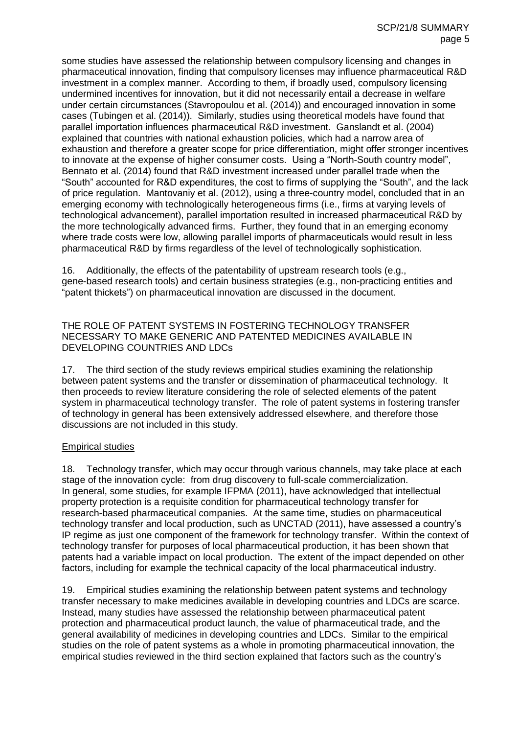some studies have assessed the relationship between compulsory licensing and changes in pharmaceutical innovation, finding that compulsory licenses may influence pharmaceutical R&D investment in a complex manner. According to them, if broadly used, compulsory licensing undermined incentives for innovation, but it did not necessarily entail a decrease in welfare under certain circumstances (Stavropoulou et al. (2014)) and encouraged innovation in some cases (Tubingen et al. (2014)). Similarly, studies using theoretical models have found that parallel importation influences pharmaceutical R&D investment. Ganslandt et al. (2004) explained that countries with national exhaustion policies, which had a narrow area of exhaustion and therefore a greater scope for price differentiation, might offer stronger incentives to innovate at the expense of higher consumer costs. Using a "North-South country model", Bennato et al. (2014) found that R&D investment increased under parallel trade when the "South" accounted for R&D expenditures, the cost to firms of supplying the "South", and the lack of price regulation. Mantovaniy et al. (2012), using a three-country model, concluded that in an emerging economy with technologically heterogeneous firms (i.e., firms at varying levels of technological advancement), parallel importation resulted in increased pharmaceutical R&D by the more technologically advanced firms. Further, they found that in an emerging economy where trade costs were low, allowing parallel imports of pharmaceuticals would result in less pharmaceutical R&D by firms regardless of the level of technologically sophistication.

16. Additionally, the effects of the patentability of upstream research tools (e.g., gene-based research tools) and certain business strategies (e.g., non-practicing entities and "patent thickets") on pharmaceutical innovation are discussed in the document.

THE ROLE OF PATENT SYSTEMS IN FOSTERING TECHNOLOGY TRANSFER NECESSARY TO MAKE GENERIC AND PATENTED MEDICINES AVAILABLE IN DEVELOPING COUNTRIES AND LDCs

17. The third section of the study reviews empirical studies examining the relationship between patent systems and the transfer or dissemination of pharmaceutical technology. It then proceeds to review literature considering the role of selected elements of the patent system in pharmaceutical technology transfer. The role of patent systems in fostering transfer of technology in general has been extensively addressed elsewhere, and therefore those discussions are not included in this study.

#### Empirical studies

18. Technology transfer, which may occur through various channels, may take place at each stage of the innovation cycle: from drug discovery to full-scale commercialization. In general, some studies, for example IFPMA (2011), have acknowledged that intellectual property protection is a requisite condition for pharmaceutical technology transfer for research-based pharmaceutical companies. At the same time, studies on pharmaceutical technology transfer and local production, such as UNCTAD (2011), have assessed a country's IP regime as just one component of the framework for technology transfer. Within the context of technology transfer for purposes of local pharmaceutical production, it has been shown that patents had a variable impact on local production. The extent of the impact depended on other factors, including for example the technical capacity of the local pharmaceutical industry.

19. Empirical studies examining the relationship between patent systems and technology transfer necessary to make medicines available in developing countries and LDCs are scarce. Instead, many studies have assessed the relationship between pharmaceutical patent protection and pharmaceutical product launch, the value of pharmaceutical trade, and the general availability of medicines in developing countries and LDCs. Similar to the empirical studies on the role of patent systems as a whole in promoting pharmaceutical innovation, the empirical studies reviewed in the third section explained that factors such as the country's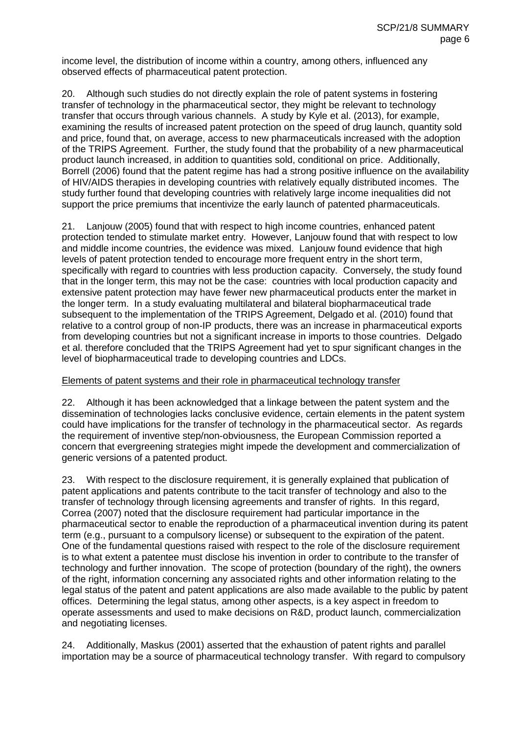income level, the distribution of income within a country, among others, influenced any observed effects of pharmaceutical patent protection.

20. Although such studies do not directly explain the role of patent systems in fostering transfer of technology in the pharmaceutical sector, they might be relevant to technology transfer that occurs through various channels. A study by Kyle et al. (2013), for example, examining the results of increased patent protection on the speed of drug launch, quantity sold and price, found that, on average, access to new pharmaceuticals increased with the adoption of the TRIPS Agreement. Further, the study found that the probability of a new pharmaceutical product launch increased, in addition to quantities sold, conditional on price. Additionally, Borrell (2006) found that the patent regime has had a strong positive influence on the availability of HIV/AIDS therapies in developing countries with relatively equally distributed incomes. The study further found that developing countries with relatively large income inequalities did not support the price premiums that incentivize the early launch of patented pharmaceuticals.

21. Lanjouw (2005) found that with respect to high income countries, enhanced patent protection tended to stimulate market entry. However, Lanjouw found that with respect to low and middle income countries, the evidence was mixed. Lanjouw found evidence that high levels of patent protection tended to encourage more frequent entry in the short term, specifically with regard to countries with less production capacity. Conversely, the study found that in the longer term, this may not be the case: countries with local production capacity and extensive patent protection may have fewer new pharmaceutical products enter the market in the longer term. In a study evaluating multilateral and bilateral biopharmaceutical trade subsequent to the implementation of the TRIPS Agreement, Delgado et al. (2010) found that relative to a control group of non-IP products, there was an increase in pharmaceutical exports from developing countries but not a significant increase in imports to those countries. Delgado et al. therefore concluded that the TRIPS Agreement had yet to spur significant changes in the level of biopharmaceutical trade to developing countries and LDCs.

#### Elements of patent systems and their role in pharmaceutical technology transfer

22. Although it has been acknowledged that a linkage between the patent system and the dissemination of technologies lacks conclusive evidence, certain elements in the patent system could have implications for the transfer of technology in the pharmaceutical sector. As regards the requirement of inventive step/non-obviousness, the European Commission reported a concern that evergreening strategies might impede the development and commercialization of generic versions of a patented product.

23. With respect to the disclosure requirement, it is generally explained that publication of patent applications and patents contribute to the tacit transfer of technology and also to the transfer of technology through licensing agreements and transfer of rights. In this regard, Correa (2007) noted that the disclosure requirement had particular importance in the pharmaceutical sector to enable the reproduction of a pharmaceutical invention during its patent term (e.g., pursuant to a compulsory license) or subsequent to the expiration of the patent. One of the fundamental questions raised with respect to the role of the disclosure requirement is to what extent a patentee must disclose his invention in order to contribute to the transfer of technology and further innovation. The scope of protection (boundary of the right), the owners of the right, information concerning any associated rights and other information relating to the legal status of the patent and patent applications are also made available to the public by patent offices. Determining the legal status, among other aspects, is a key aspect in freedom to operate assessments and used to make decisions on R&D, product launch, commercialization and negotiating licenses.

24. Additionally, Maskus (2001) asserted that the exhaustion of patent rights and parallel importation may be a source of pharmaceutical technology transfer. With regard to compulsory